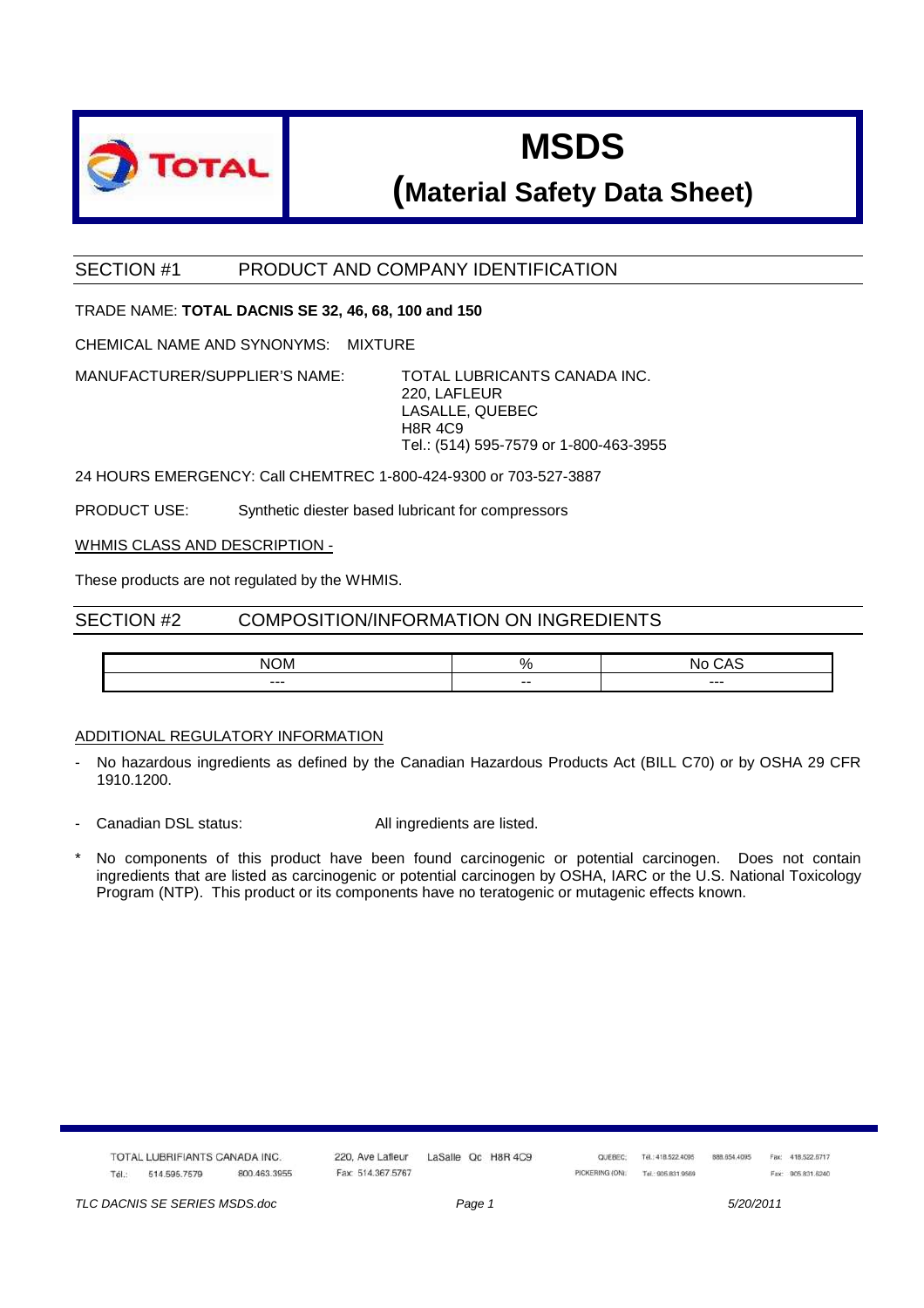

## **MSDS**

### **(Material Safety Data Sheet)**

#### SECTION #1 PRODUCT AND COMPANY IDENTIFICATION

#### TRADE NAME: **TOTAL DACNIS SE 32, 46, 68, 100 and 150**

CHEMICAL NAME AND SYNONYMS: MIXTURE

MANUFACTURER/SUPPLIER'S NAME: TOTAL LUBRICANTS CANADA INC.

220, LAFLEUR LASALLE, QUEBEC H8R 4C9 Tel.: (514) 595-7579 or 1-800-463-3955

24 HOURS EMERGENCY: Call CHEMTREC 1-800-424-9300 or 703-527-3887

PRODUCT USE: Synthetic diester based lubricant for compressors

WHMIS CLASS AND DESCRIPTION -

These products are not regulated by the WHMIS.

#### SECTION #2 COMPOSITION/INFORMATION ON INGREDIENTS

| $\sim$<br>DM.<br>NK | "            | u    |
|---------------------|--------------|------|
| $- - -$             | $- -$<br>$-$ | $--$ |

#### ADDITIONAL REGULATORY INFORMATION

- No hazardous ingredients as defined by the Canadian Hazardous Products Act (BILL C70) or by OSHA 29 CFR 1910.1200.
- Canadian DSL status: All ingredients are listed.
- No components of this product have been found carcinogenic or potential carcinogen. Does not contain ingredients that are listed as carcinogenic or potential carcinogen by OSHA, IARC or the U.S. National Toxicology Program (NTP). This product or its components have no teratogenic or mutagenic effects known.

|       | TOTAL LUBRIFIANTS CANADA INC.<br>왜 한백 위에 있어 안 보이겠어? 한 번 일 나라에서 잘 만든 지역에 가장만을 이 들어가면 없어서 있었다. |              | 220. Ave Lafleur  |  | LaSalle Qc H8R 4C9 | QUEBEC:        | Tél.: 418.522.4095<br>Conservation and are all the conservations | 888.654.4095<br>and a complete the first state | Fax: 418.522.6717 |  |
|-------|----------------------------------------------------------------------------------------------|--------------|-------------------|--|--------------------|----------------|------------------------------------------------------------------|------------------------------------------------|-------------------|--|
| Tél.: | 514.595.7579                                                                                 | 800.463.3955 | Fax: 514.367.5767 |  |                    | PICKERING (ON) | Tel: 905 831 9569                                                |                                                | Fax: 905 831,6240 |  |

TLC DACNIS SE SERIES MSDS.doc **Page 1** 5/20/2011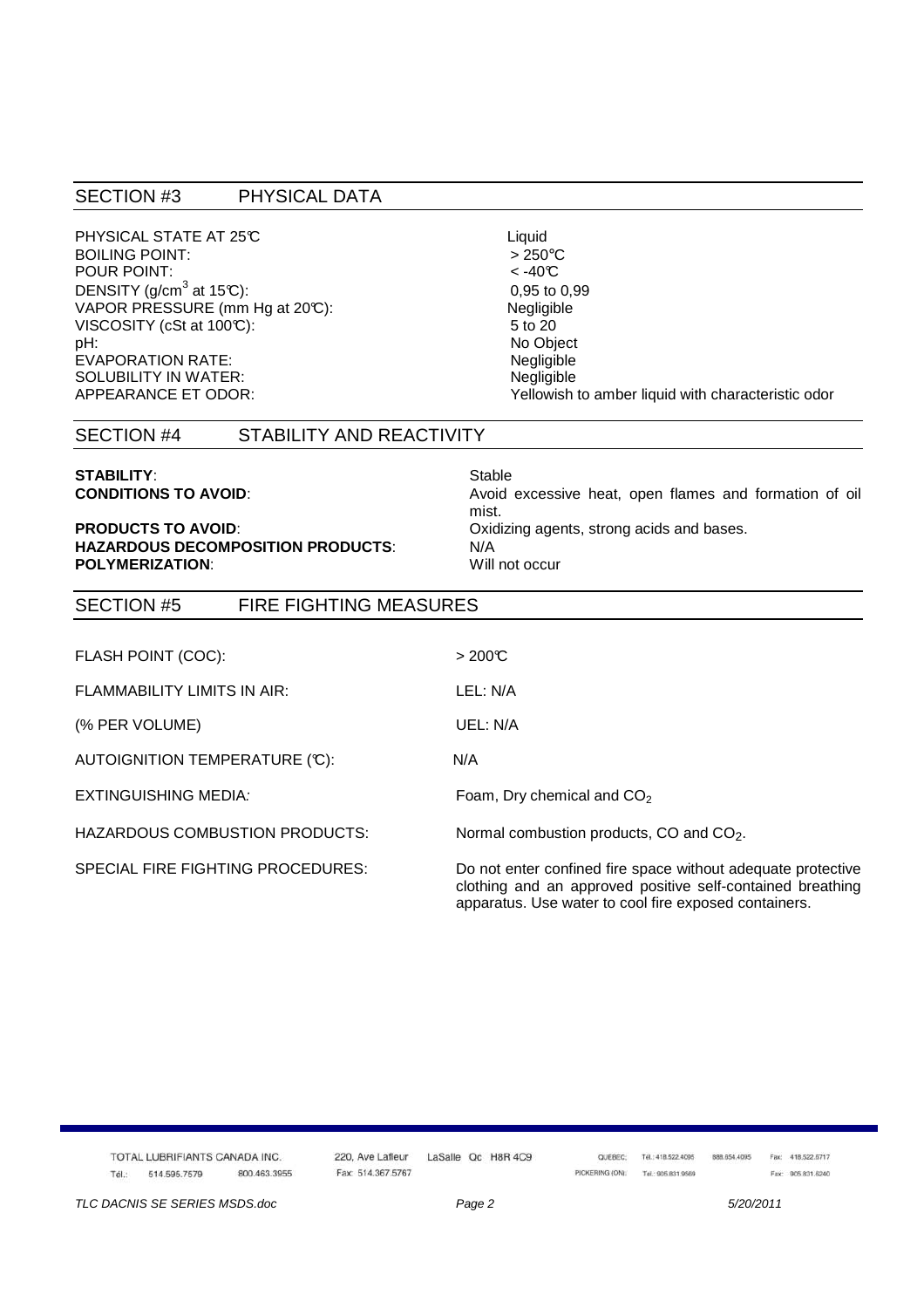#### SECTION #3 PHYSICAL DATA

PHYSICAL STATE AT 25°C<br>BOILING POINT:  $>250^{\circ}$ C BOILING POINT:<br>
POUR POINT:<br>  $< -40^{\circ}C$ POUR POINT: DENSITY (g/cm<sup>3</sup> at 15°C): VAPOR PRESSURE (mm Hg at 20°C): Negligible VISCOSITY (cSt at  $100\degree$ ):  $5 \text{ to } 20$ pH: No Object EVAPORATION RATE: Negligible SOLUBILITY IN WATER: Negligible

# 0,95 to 0,99 Yellowish to amber liquid with characteristic odor

#### SECTION #4 STABILITY AND REACTIVITY

## **STABILITY:** Stable

#### **HAZARDOUS DECOMPOSITION PRODUCTS**: N/A **POLYMERIZATION:** Will not occur

**CONDITIONS TO AVOID:** Avoid excessive heat, open flames and formation of oil mist. **PRODUCTS TO AVOID:** CONSEQUENTING DISTURBANCE CONSIDERS A CONSEQUENCE ORIGINAL PRODUCTS TO AVOID:

#### SECTION #5 FIRE FIGHTING MEASURES

| FLASH POINT (COC):                    | >200C                                                                                                                                                                               |
|---------------------------------------|-------------------------------------------------------------------------------------------------------------------------------------------------------------------------------------|
| <b>FLAMMABILITY LIMITS IN AIR:</b>    | LEL: N/A                                                                                                                                                                            |
| (% PER VOLUME)                        | UEL: N/A                                                                                                                                                                            |
| AUTOIGNITION TEMPERATURE (°C):        | N/A                                                                                                                                                                                 |
| EXTINGUISHING MEDIA:                  | Foam, Dry chemical and $CO2$                                                                                                                                                        |
| <b>HAZARDOUS COMBUSTION PRODUCTS:</b> | Normal combustion products, CO and CO <sub>2</sub> .                                                                                                                                |
| SPECIAL FIRE FIGHTING PROCEDURES:     | Do not enter confined fire space without adequate protective<br>clothing and an approved positive self-contained breathing<br>apparatus. Use water to cool fire exposed containers. |

|       | TOTAL LUBRIFIANTS CANADA INC.<br>일은 비례 MT MA 를 알려진 비리 스트 도 플레스 스트 프로그램을 발견하고 공항 사고 있는 것이다. 2015년 1월 20일 전 1월 20일 전 1월 20일 전 1월 20일 전 |                                                 | 220, Ave Lafleur  |  | LaSalle Qc H8R 4C9 | QUEBEC.        | Tél.: 418.522.4095<br>- STATISTIC ALSO IN THE STATISTICS. | 888.654.4095 | Fax: 418.522.6717 |
|-------|--------------------------------------------------------------------------------------------------------------------------------------|-------------------------------------------------|-------------------|--|--------------------|----------------|-----------------------------------------------------------|--------------|-------------------|
| Tél.: | 514.595.7579                                                                                                                         | 800.463.3955<br>the contract of the contract of | Fax: 514.367.5767 |  |                    | PICKERING (ON) | Tel: 905,831,9569                                         |              | Fax: 905 831,6240 |

TLC DACNIS SE SERIES MSDS.doc **Page 2** 5/20/2011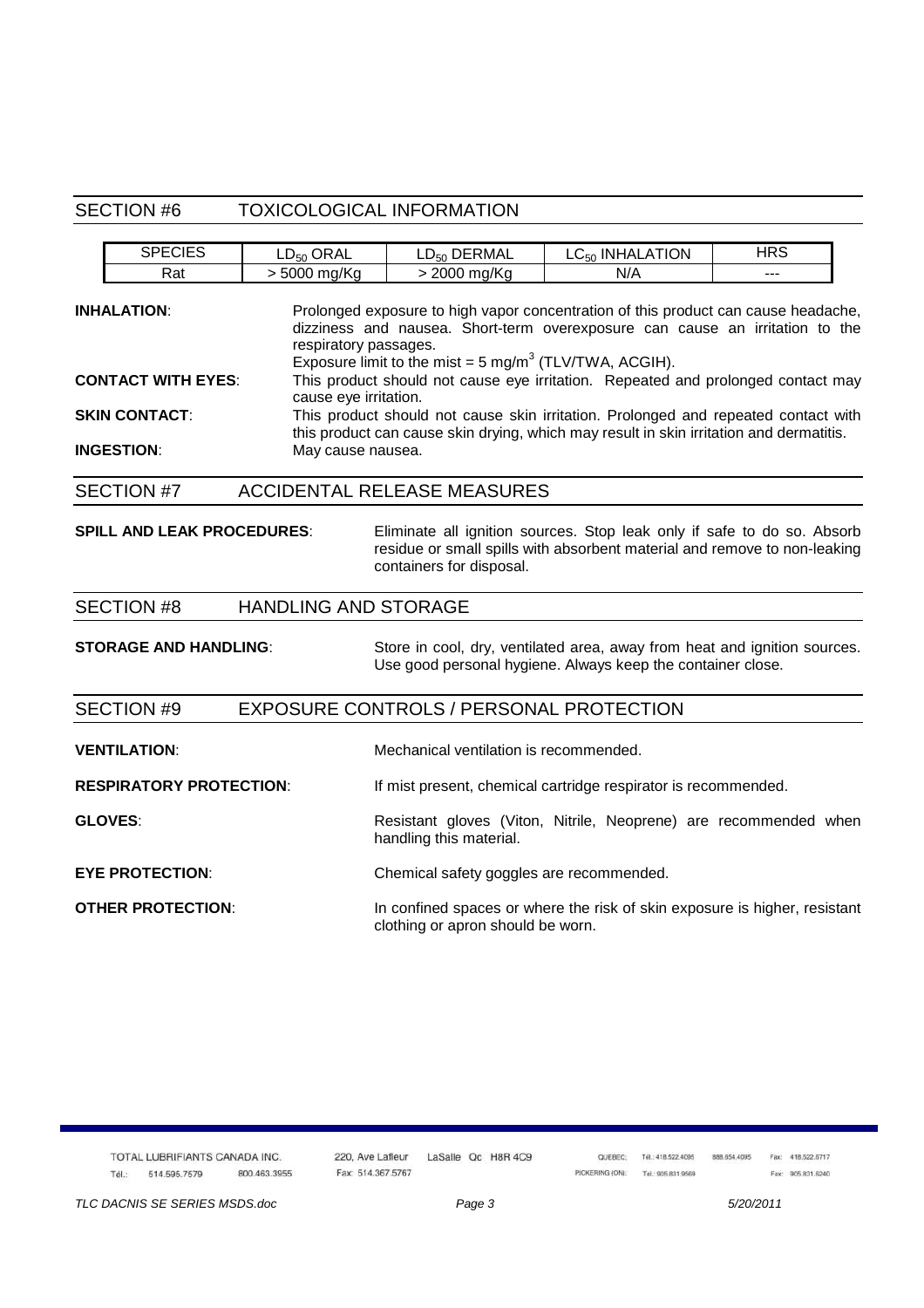#### SECTION #6 TOXICOLOGICAL INFORMATION

| <b>SPECIES</b>                    | $LD_{50}$ ORAL                                                                                                                                                                | LD <sub>50</sub> DERMAL                                           | LC <sub>50</sub> INHALATION                                                                                                                                        | <b>HRS</b> |  |  |
|-----------------------------------|-------------------------------------------------------------------------------------------------------------------------------------------------------------------------------|-------------------------------------------------------------------|--------------------------------------------------------------------------------------------------------------------------------------------------------------------|------------|--|--|
| Rat                               | > 5000 mg/Kg                                                                                                                                                                  | > 2000 mg/Kg                                                      | N/A                                                                                                                                                                |            |  |  |
| <b>INHALATION:</b>                | respiratory passages.                                                                                                                                                         | Exposure limit to the mist = $5 \text{ mg/m}^3$ (TLV/TWA, ACGIH). | Prolonged exposure to high vapor concentration of this product can cause headache,<br>dizziness and nausea. Short-term overexposure can cause an irritation to the |            |  |  |
| <b>CONTACT WITH EYES:</b>         | cause eye irritation.                                                                                                                                                         |                                                                   | This product should not cause eye irritation. Repeated and prolonged contact may                                                                                   |            |  |  |
| <b>SKIN CONTACT:</b>              | This product should not cause skin irritation. Prolonged and repeated contact with<br>this product can cause skin drying, which may result in skin irritation and dermatitis. |                                                                   |                                                                                                                                                                    |            |  |  |
| <b>INGESTION:</b>                 | May cause nausea.                                                                                                                                                             |                                                                   |                                                                                                                                                                    |            |  |  |
| <b>SECTION #7</b>                 |                                                                                                                                                                               | <b>ACCIDENTAL RELEASE MEASURES</b>                                |                                                                                                                                                                    |            |  |  |
| <b>SPILL AND LEAK PROCEDURES:</b> |                                                                                                                                                                               |                                                                   | Eliminate all ignition sources. Stop leak only if safe to do so. Absorb                                                                                            |            |  |  |

#### SECTION #8 HANDLING AND STORAGE

**STORAGE AND HANDLING:** Store in cool, dry, ventilated area, away from heat and ignition sources. Use good personal hygiene. Always keep the container close.

containers for disposal.

residue or small spills with absorbent material and remove to non-leaking

#### SECTION #9 EXPOSURE CONTROLS / PERSONAL PROTECTION

| <b>VENTILATION:</b>            | Mechanical ventilation is recommended.                                                                          |  |  |  |  |
|--------------------------------|-----------------------------------------------------------------------------------------------------------------|--|--|--|--|
| <b>RESPIRATORY PROTECTION:</b> | If mist present, chemical cartridge respirator is recommended.                                                  |  |  |  |  |
| <b>GLOVES:</b>                 | Resistant gloves (Viton, Nitrile, Neoprene) are recommended when<br>handling this material.                     |  |  |  |  |
| <b>EYE PROTECTION:</b>         | Chemical safety goggles are recommended.                                                                        |  |  |  |  |
| <b>OTHER PROTECTION:</b>       | In confined spaces or where the risk of skin exposure is higher, resistant<br>clothing or apron should be worn. |  |  |  |  |

|       | TOTAL LUBRIFIANTS CANADA INC.<br>왜 한 거리에 가서 잘 안 보면 가지고 있어. 이 나는 사람들은 어떻게 되었다. 이 사람은 아이들은 사람들은 아이들이 있었다. |              | 220. Ave Lafleur  | LaSalle Qc H8R 4C9 | QUEBEC: | TAL: 418 522 4095<br>- 2010년 10월 20일 10월 20일 10월 20일 10월 20일 10월 20일 10월 20일 10월 20일 10월 20일 10월 20일 10월 20일 10월 20일 10월 20일 10월 20 |
|-------|---------------------------------------------------------------------------------------------------------|--------------|-------------------|--------------------|---------|-------------------------------------------------------------------------------------------------------------------------------------|
| Tél.: | 514.595.7579                                                                                            | 800.463.3955 | Fax: 514.367.5767 |                    |         | PICKERING (ON): Tel: 905.831.9569                                                                                                   |

TLC DACNIS SE SERIES MSDS.doc entrance Page 3 5/20/2011

888.654.4095 Fax: 418.522.6717

Fax: 905.831.6240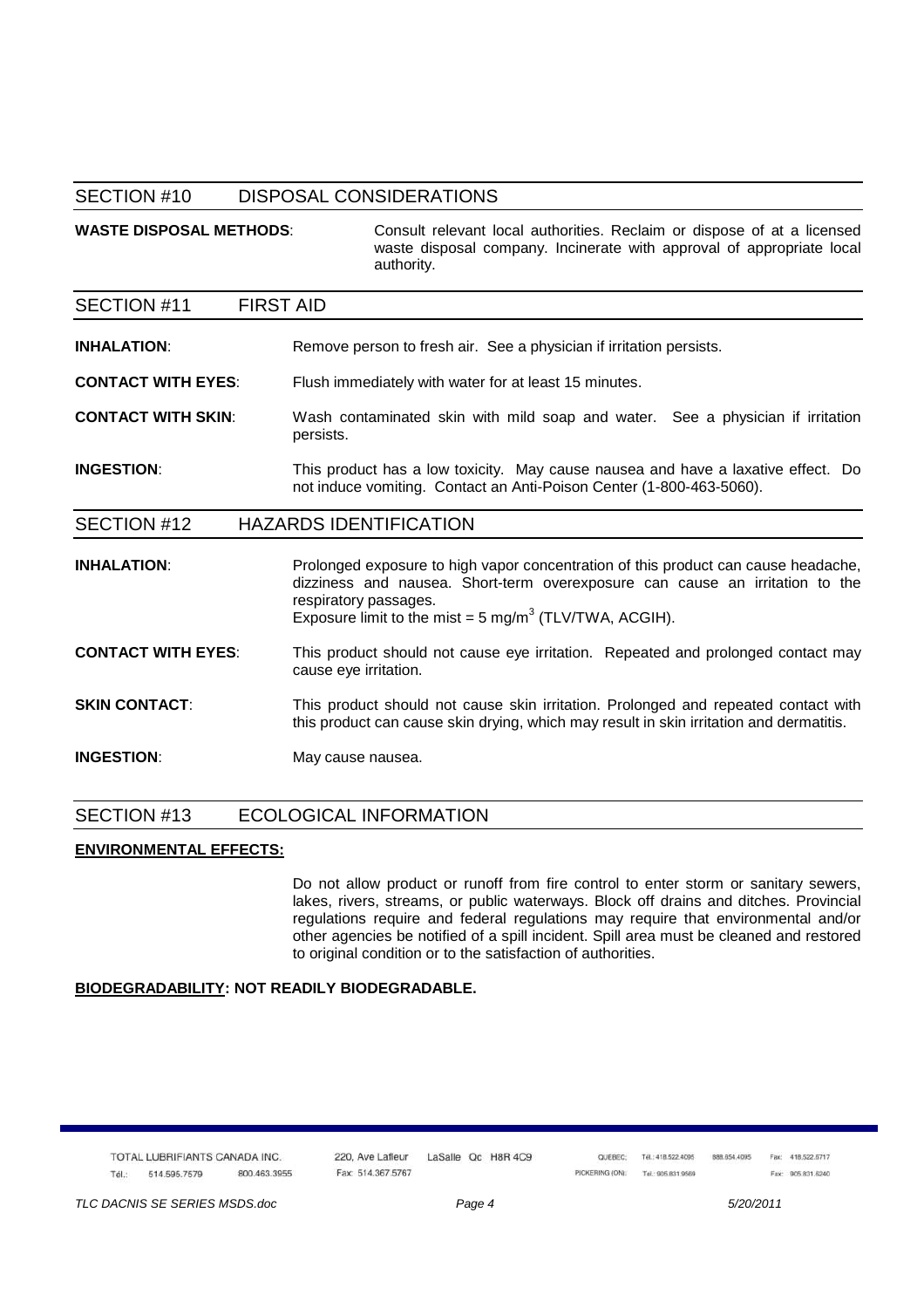#### SECTION #10 DISPOSAL CONSIDERATIONS

WASTE DISPOSAL METHODS: Consult relevant local authorities. Reclaim or dispose of at a licensed waste disposal company. Incinerate with approval of appropriate local authority.

SECTION #11 FIRST AID **INHALATION:** Remove person to fresh air. See a physician if irritation persists. **CONTACT WITH EYES:** Flush immediately with water for at least 15 minutes. **CONTACT WITH SKIN**: Wash contaminated skin with mild soap and water. See a physician if irritation persists. **INGESTION:** This product has a low toxicity. May cause nausea and have a laxative effect. Do not induce vomiting. Contact an Anti-Poison Center (1-800-463-5060). SECTION #12 HAZARDS IDENTIFICATION

**INHALATION:** Prolonged exposure to high vapor concentration of this product can cause headache, dizziness and nausea. Short-term overexposure can cause an irritation to the respiratory passages. Exposure limit to the mist =  $5 \text{ mg/m}^3$  (TLV/TWA, ACGIH).

**CONTACT WITH EYES**: This product should not cause eye irritation. Repeated and prolonged contact may cause eye irritation.

**SKIN CONTACT:** This product should not cause skin irritation. Prolonged and repeated contact with this product can cause skin drying, which may result in skin irritation and dermatitis.

**INGESTION:** May cause nausea.

#### SECTION #13 ECOLOGICAL INFORMATION

#### **ENVIRONMENTAL EFFECTS:**

 Do not allow product or runoff from fire control to enter storm or sanitary sewers, lakes, rivers, streams, or public waterways. Block off drains and ditches. Provincial regulations require and federal regulations may require that environmental and/or other agencies be notified of a spill incident. Spill area must be cleaned and restored to original condition or to the satisfaction of authorities.

#### **BIODEGRADABILITY: NOT READILY BIODEGRADABLE.**

TOTAL LUBRIFIANTS CANADA INC. Tél -514 595 7579 800.463.3955 220 Ave Lafleur Fay: 514 367 5767

LaSalle Qc H8R 4C9

OUFREC: Tél.: 418.522.4095 PICKERING (ON): Tail: 905.831.9569

Fax: 418.522.6717 888.654.4095 Fax: 905.831.6240